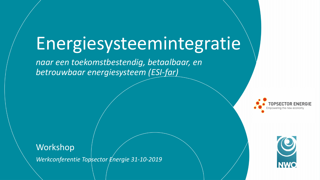# Energiesysteemintegratie

*naar een toekomstbestendig, betaalbaar, en betrouwbaar energiesysteem (ESI-far)*



*Werkconferentie Topsector Energie 31-10-2019*



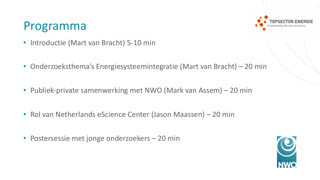#### Programma

- Introductie (Mart van Bracht) 5-10 min
- Onderzoeksthema's Energiesysteemintegratie (Mart van Bracht) 20 min
- Publiek-private samenwerking met NWO (Mark van Assem) 20 min
- Rol van Netherlands eScience Center (Jason Maassen) 20 min
- Postersessie met jonge onderzoekers 20 min

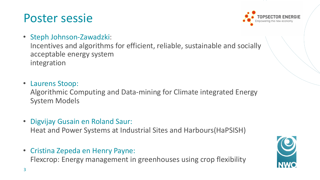#### Poster sessie



• Steph Johnson-Zawadzki:

Incentives and algorithms for efficient, reliable, sustainable and socially acceptable energy system integration

- Laurens Stoop: Algorithmic Computing and Data-mining for Climate integrated Energy System Models
- Digvijay Gusain en Roland Saur:

Heat and Power Systems at Industrial Sites and Harbours(HaPSISH)

• Cristina Zepeda en Henry Payne:

Flexcrop: Energy management in greenhouses using crop flexibility

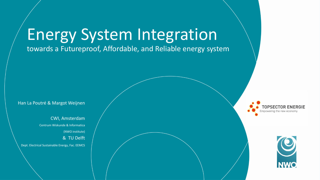# Energy System Integration

towards a Futureproof, Affordable, and Reliable energy system

Han La Poutré & Margot Weijnen

CWI, Amsterdam Centrum Wiskunde & Informatica (NWO institute) & TU Delft Dept. Electrical Sustainable Energy, Fac. EEMCS npowering the new econom

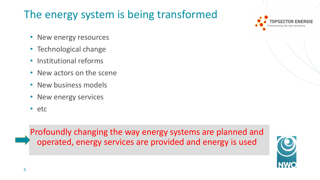#### The energy system is being transformed

- New energy resources
- Technological change
- Institutional reforms
- New actors on the scene
- New business models
- New energy services
- etc

Profoundly changing the way energy systems are planned and operated, energy services are provided and energy is used

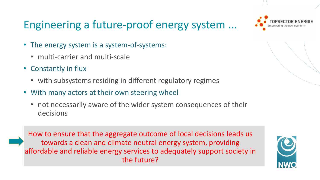#### Engineering a future-proof energy system ...



- The energy system is a system-of-systems:
	- multi-carrier and multi-scale
- Constantly in flux
	- with subsystems residing in different regulatory regimes
- With many actors at their own steering wheel
	- not necessarily aware of the wider system consequences of their decisions

How to ensure that the aggregate outcome of local decisions leads us towards a clean and climate neutral energy system, providing affordable and reliable energy services to adequately support society in the future?

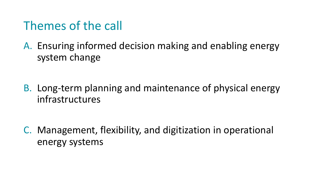#### Themes of the call

A. Ensuring informed decision making and enabling energy system change

B. Long-term planning and maintenance of physical energy infrastructures

C. Management, flexibility, and digitization in operational energy systems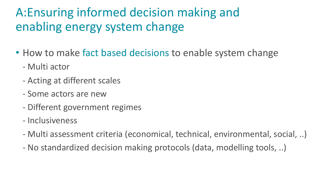## A:Ensuring informed decision making and enabling energy system change

- How to make fact based decisions to enable system change
	- Multi actor
	- Acting at different scales
	- Some actors are new
	- Different government regimes
	- Inclusiveness
	- Multi assessment criteria (economical, technical, environmental, social, ..)
	- No standardized decision making protocols (data, modelling tools, ..)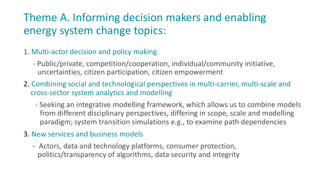#### Theme A. Informing decision makers and enabling energy system change topics:

- 1. Multi-actor decision and policy making
	- Public/private, competition/cooperation, individual/community initiative, uncertainties, citizen participation, citizen empowerment
- 2. Combining social and technological perspectives in multi-carrier, multi-scale and cross-sector system analytics and modelling
	- Seeking an integrative modelling framework, which allows us to combine models from different disciplinary perspectives, differing in scope, scale and modelling paradigm; system transition simulations e.g., to examine path dependencies
- 3. New services and business models
	- Actors, data and technology platforms, consumer protection, politics/transparency of algorithms, data security and integrity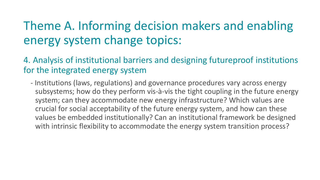#### Theme A. Informing decision makers and enabling energy system change topics:

4. Analysis of institutional barriers and designing futureproof institutions for the integrated energy system

- Institutions (laws, regulations) and governance procedures vary across energy subsystems; how do they perform vis-à-vis the tight coupling in the future energy system; can they accommodate new energy infrastructure? Which values are crucial for social acceptability of the future energy system, and how can these values be embedded institutionally? Can an institutional framework be designed with intrinsic flexibility to accommodate the energy system transition process?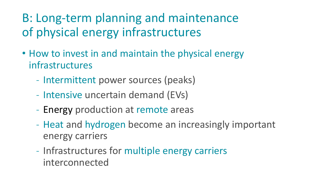### B: Long-term planning and maintenance of physical energy infrastructures

- How to invest in and maintain the physical energy infrastructures
	- Intermittent power sources (peaks)
	- Intensive uncertain demand (EVs)
	- Energy production at remote areas
	- Heat and hydrogen become an increasingly important energy carriers
	- Infrastructures for multiple energy carriers interconnected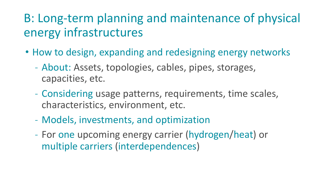#### B: Long-term planning and maintenance of physical energy infrastructures

- How to design, expanding and redesigning energy networks
	- About: Assets, topologies, cables, pipes, storages, capacities, etc.
	- Considering usage patterns, requirements, time scales, characteristics, environment, etc.
	- Models, investments, and optimization
	- For one upcoming energy carrier (hydrogen/heat) or multiple carriers (interdependences)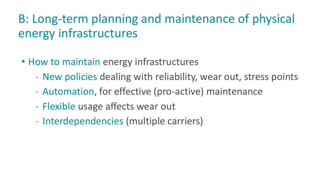## B: Long-term planning and maintenance of physical energy infrastructures

- How to maintain energy infrastructures
	- New policies dealing with reliability, wear out, stress points
	- Automation, for effective (pro-active) maintenance
	- Flexible usage affects wear out
	- Interdependencies (multiple carriers)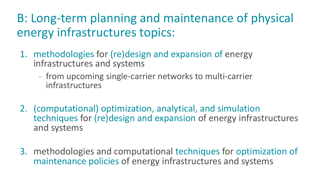#### B: Long-term planning and maintenance of physical energy infrastructures topics:

- 1. methodologies for (re)design and expansion of energy infrastructures and systems
	- from upcoming single-carrier networks to multi-carrier infrastructures
- 2. (computational) optimization, analytical, and simulation techniques for (re)design and expansion of energy infrastructures and systems
- 3. methodologies and computational techniques for optimization of maintenance policies of energy infrastructures and systems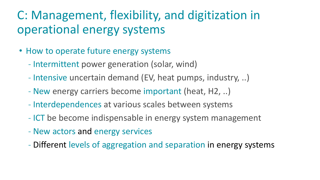#### C: Management, flexibility, and digitization in operational energy systems

- How to operate future energy systems
	- Intermittent power generation (solar, wind)
	- Intensive uncertain demand (EV, heat pumps, industry, ..)
	- New energy carriers become important (heat, H2, ..)
	- Interdependences at various scales between systems
	- ICT be become indispensable in energy system management
	- New actors and energy services
	- Different levels of aggregation and separation in energy systems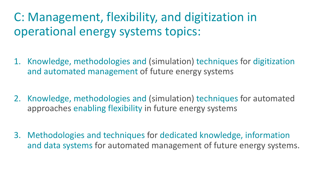### C: Management, flexibility, and digitization in operational energy systems topics:

- 1. Knowledge, methodologies and (simulation) techniques for digitization and automated management of future energy systems
- 2. Knowledge, methodologies and (simulation) techniques for automated approaches enabling flexibility in future energy systems
- 3. Methodologies and techniques for dedicated knowledge, information and data systems for automated management of future energy systems.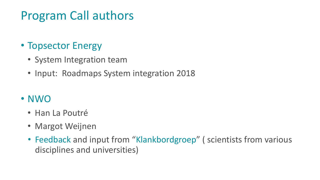#### Program Call authors

#### • Topsector Energy

- System Integration team
- Input: Roadmaps System integration 2018

#### • NWO

- Han La Poutré
- Margot Weijnen
- Feedback and input from "Klankbordgroep" (scientists from various disciplines and universities)